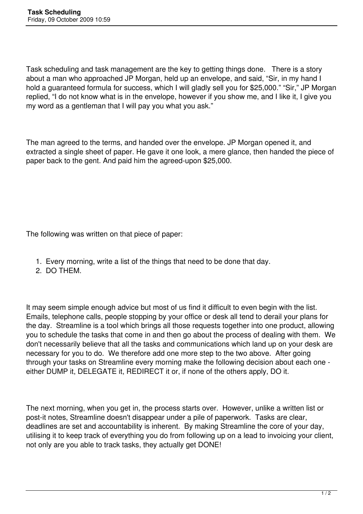Task scheduling and task management are the key to getting things done. There is a story about a man who approached JP Morgan, held up an envelope, and said, "Sir, in my hand I hold a guaranteed formula for success, which I will gladly sell you for \$25,000." "Sir," JP Morgan replied, "I do not know what is in the envelope, however if you show me, and I like it, I give you my word as a gentleman that I will pay you what you ask."

The man agreed to the terms, and handed over the envelope. JP Morgan opened it, and extracted a single sheet of paper. He gave it one look, a mere glance, then handed the piece of paper back to the gent. And paid him the agreed-upon \$25,000.

The following was written on that piece of paper:

- 1. Every morning, write a list of the things that need to be done that day.
- 2. DO THEM.

It may seem simple enough advice but most of us find it difficult to even begin with the list. Emails, telephone calls, people stopping by your office or desk all tend to derail your plans for the day. Streamline is a tool which brings all those requests together into one product, allowing you to schedule the tasks that come in and then go about the process of dealing with them. We don't necessarily believe that all the tasks and communications which land up on your desk are necessary for you to do. We therefore add one more step to the two above. After going through your tasks on Streamline every morning make the following decision about each one either DUMP it, DELEGATE it, REDIRECT it or, if none of the others apply, DO it.

The next morning, when you get in, the process starts over. However, unlike a written list or post-it notes, Streamline doesn't disappear under a pile of paperwork. Tasks are clear, deadlines are set and accountability is inherent. By making Streamline the core of your day, utilising it to keep track of everything you do from following up on a lead to invoicing your client, not only are you able to track tasks, they actually get DONE!